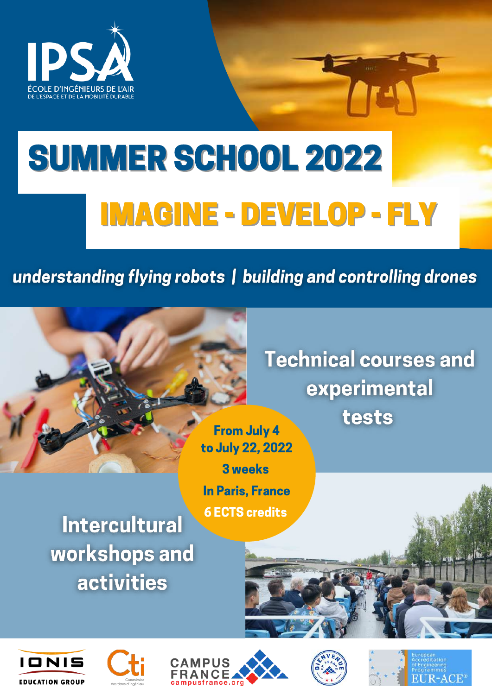

# SUMMER SCHOOL 2022 IMAGINE - DEVELOP - FLY

### understanding flying robots | building and controlling drones

In Paris, France

6 ECTS credits



**Technical courses and** experimental tests

**Intercultural** workshops and **activities**